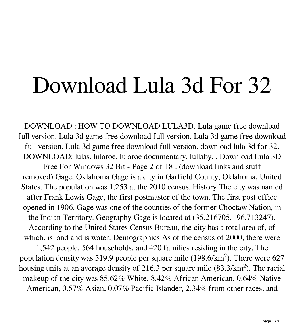## Download Lula 3d For 32

DOWNLOAD : HOW TO DOWNLOAD LULA3D. Lula game free download full version. Lula 3d game free download full version. Lula 3d game free download full version. Lula 3d game free download full version. download lula 3d for 32. DOWNLOAD: lulas, lularoe, lularoe documentary, lullaby, . Download Lula 3D Free For Windows 32 Bit - Page 2 of 18 . (download links and stuff removed).Gage, Oklahoma Gage is a city in Garfield County, Oklahoma, United States. The population was 1,253 at the 2010 census. History The city was named after Frank Lewis Gage, the first postmaster of the town. The first post office opened in 1906. Gage was one of the counties of the former Choctaw Nation, in the Indian Territory. Geography Gage is located at (35.216705, -96.713247).

According to the United States Census Bureau, the city has a total area of, of which, is land and is water. Demographics As of the census of 2000, there were

1,542 people, 564 households, and 420 families residing in the city. The population density was 519.9 people per square mile (198.6/km²). There were 627 housing units at an average density of 216.3 per square mile (83.3/km²). The racial makeup of the city was 85.62% White, 8.42% African American, 0.64% Native American, 0.57% Asian, 0.07% Pacific Islander, 2.34% from other races, and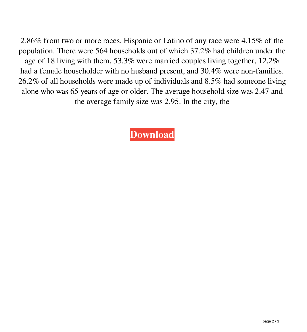2.86% from two or more races. Hispanic or Latino of any race were 4.15% of the population. There were 564 households out of which 37.2% had children under the age of 18 living with them, 53.3% were married couples living together, 12.2% had a female householder with no husband present, and 30.4% were non-families. 26.2% of all households were made up of individuals and 8.5% had someone living alone who was 65 years of age or older. The average household size was 2.47 and the average family size was 2.95. In the city, the

**[Download](http://evacdir.com/ZG93bmxvYWR8SU42TmpJMWZId3hOalV5TnpRd09EWTJmSHd5TlRjMGZId29UU2tnY21WaFpDMWliRzluSUZ0R1lYTjBJRWRGVGww/attends/gramophone/involves.capsaicin?daae=ZG93bmxvYWQgbHVsYSAzZCBmb3IgMzIZG9/pulses)**